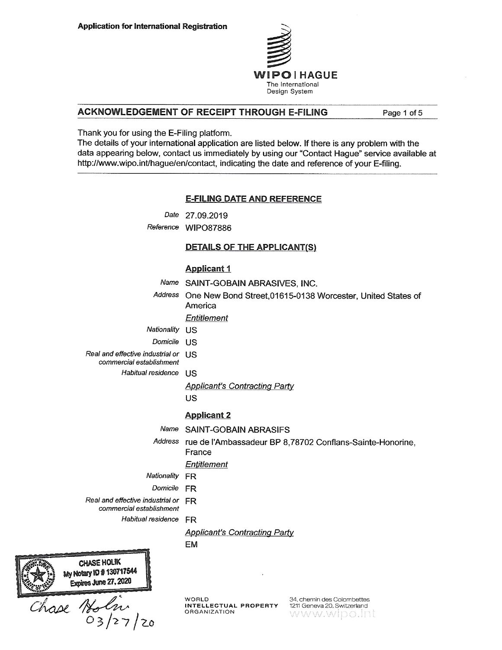

### ACKNOWLEDGEMENT OF RECEIPT THROUGH E-FILING

Page 1 of 5

Thank you for using the E-Filing platform.

The details of your international application are listed below. If there is any problem with the data appearing below, contact us immediately by using our "Contact Hague" service available at http://www.wipo.int/hague/en/contact, indicating the date and reference of your E-filing.

### **E-FILING DATE AND REFERENCE**

Date 27.09.2019

Reference WIPO87886

## **DETAILS OF THE APPLICANT(S)**

#### **Applicant 1**

- Name SAINT-GOBAIN ABRASIVES, INC.
- Address One New Bond Street, 01615-0138 Worcester, United States of America

Entitlement

- Nationality US
- Domicile US
- Real and effective industrial or **US** 
	- commercial establishment

Habitual residence US

**Applicant's Contracting Party** 

**US** 

### **Applicant 2**

Name SAINT-GOBAIN ABRASIFS

Address rue de l'Ambassadeur BP 8,78702 Conflans-Sainte-Honorine, France

### **Entitlement**

- Nationality FR
	- Domicile **FR**

Real and effective industrial or FR

commercial establishment

Habitual residence FR

**Applicant's Contracting Party** 

EM



Thase Holm

**WORLD** INTELLECTUAL PROPERTY ORGANIZATION

34, chemin des Colombettes 1211 Geneva 20, Switzerland www.wipo.int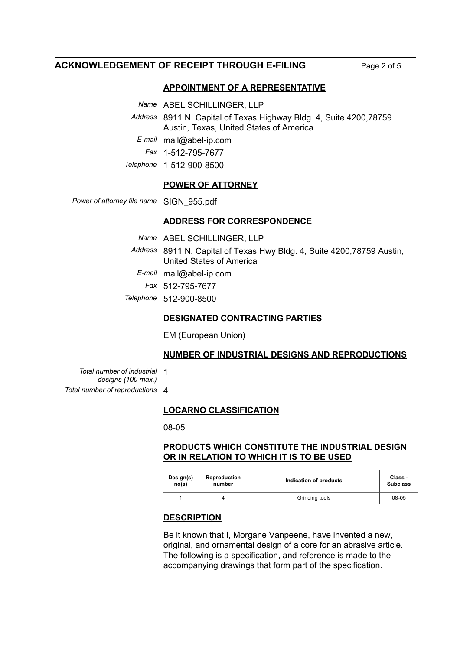## **ACKNOWLEDGEMENT OF RECEIPT THROUGH E-FILING** Page 2 of 5

## **APPOINTMENT OF A REPRESENTATIVE**

*Name* ABEL SCHILLINGER, LLP

*Address* 8911 N. Capital of Texas Highway Bldg. 4, Suite 4200,78759 Austin, Texas, United States of America

*E-mail* mail@abel-ip.com

*Fax* 1-512-795-7677

*Telephone* 1-512-900-8500

### **POWER OF ATTORNEY**

*Power of attorney file name* SIGN\_955.pdf

## **ADDRESS FOR CORRESPONDENCE**

| Name ABEL SCHILLINGER, LLP                                                                          |
|-----------------------------------------------------------------------------------------------------|
| Address 8911 N. Capital of Texas Hwy Bldg. 4, Suite 4200, 78759 Austin,<br>United States of America |
| E-mail mail@abel-ip.com                                                                             |
| Fax 512-795-7677                                                                                    |
| Telephone 512-900-8500                                                                              |

### **DESIGNATED CONTRACTING PARTIES**

EM (European Union)

### **NUMBER OF INDUSTRIAL DESIGNS AND REPRODUCTIONS**

*Total number of industrial* 1 *designs (100 max.)*

*Total number of reproductions* 4

## **LOCARNO CLASSIFICATION**

08-05

# **PRODUCTS WHICH CONSTITUTE THE INDUSTRIAL DESIGN OR IN RELATION TO WHICH IT IS TO BE USED**

| Design(s) | <b>Reproduction</b> | Indication of products | Class -         |
|-----------|---------------------|------------------------|-----------------|
| no(s)     | number              |                        | <b>Subclass</b> |
|           |                     | Grinding tools         | 08-05           |

### **DESCRIPTION**

Be it known that I, Morgane Vanpeene, have invented a new, original, and ornamental design of a core for an abrasive article. The following is a specification, and reference is made to the accompanying drawings that form part of the specification.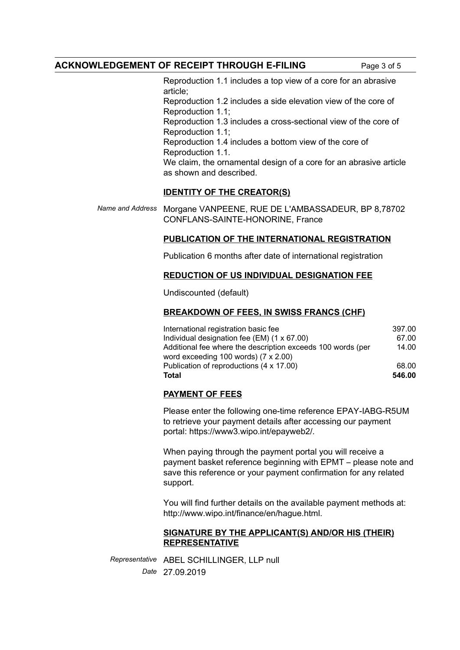# **ACKNOWLEDGEMENT OF RECEIPT THROUGH E-FILING** Page 3 of 5

Reproduction 1.1 includes a top view of a core for an abrasive article; Reproduction 1.2 includes a side elevation view of the core of Reproduction 1.1; Reproduction 1.3 includes a cross-sectional view of the core of Reproduction 1.1; Reproduction 1.4 includes a bottom view of the core of Reproduction 1.1. We claim, the ornamental design of a core for an abrasive article

# **IDENTITY OF THE CREATOR(S)**

as shown and described.

*Name and Address* Morgane VANPEENE, RUE DE L'AMBASSADEUR, BP 8,78702 CONFLANS-SAINTE-HONORINE, France

# **PUBLICATION OF THE INTERNATIONAL REGISTRATION**

Publication 6 months after date of international registration

# **REDUCTION OF US INDIVIDUAL DESIGNATION FEE**

Undiscounted (default)

## **BREAKDOWN OF FEES, IN SWISS FRANCS (CHF)**

| International registration basic fee                        | 397.00 |
|-------------------------------------------------------------|--------|
| Individual designation fee $(EM)$ (1 x 67.00)               | 67.00  |
| Additional fee where the description exceeds 100 words (per | 14.00  |
| word exceeding 100 words) $(7 \times 2.00)$                 |        |
| Publication of reproductions (4 x 17.00)                    | 68.00  |
| <b>Total</b>                                                | 546.00 |

## **PAYMENT OF FEES**

Please enter the following one-time reference EPAY-IABG-R5UM to retrieve your payment details after accessing our payment portal: https://www3.wipo.int/epayweb2/.

When paying through the payment portal you will receive a payment basket reference beginning with EPMT – please note and save this reference or your payment confirmation for any related support.

You will find further details on the available payment methods at: http://www.wipo.int/finance/en/hague.html.

## **SIGNATURE BY THE APPLICANT(S) AND/OR HIS (THEIR) REPRESENTATIVE**

*Representative* ABEL SCHILLINGER, LLP null *Date* 27.09.2019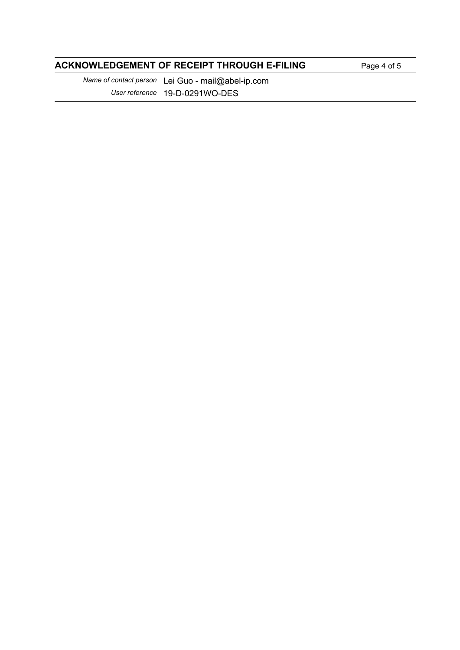# **ACKNOWLEDGEMENT OF RECEIPT THROUGH E-FILING** Page 4 of 5

*Name of contact person* Lei Guo - mail@abel-ip.com *User reference* 19-D-0291WO-DES